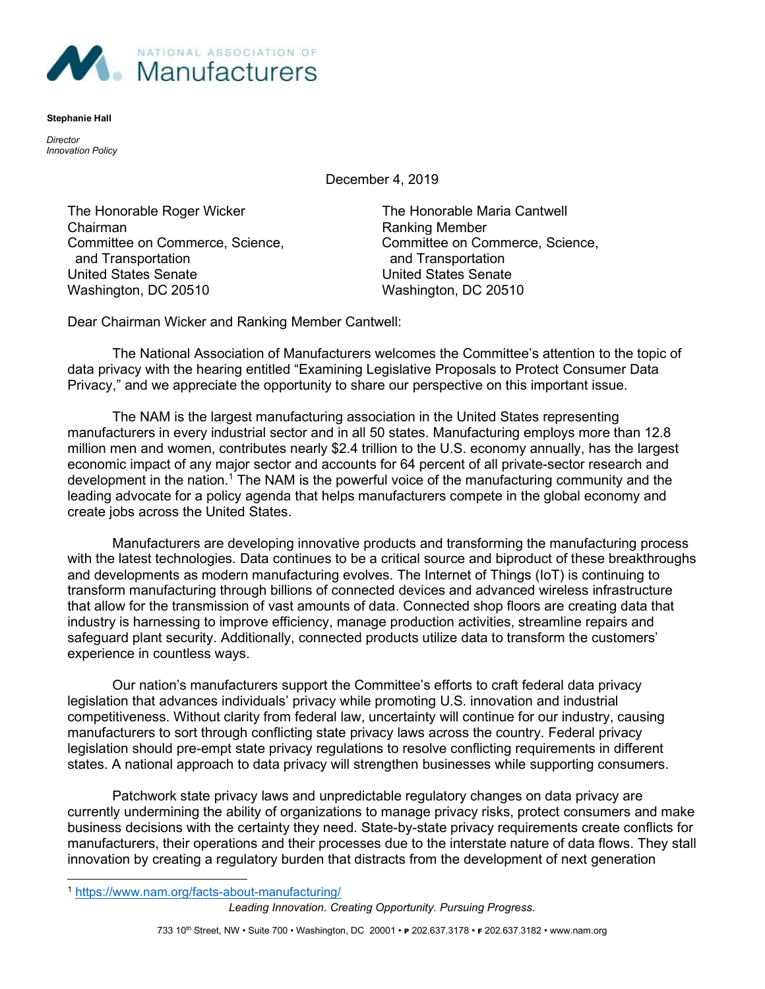

Stephanie Hall

**Director** Innovation Policy

December 4, 2019

The Honorable Roger Wicker The Honorable Maria Cantwell Chairman **Chairman** Ranking Member and Transportation and Transportation United States Senate United States Senate Washington, DC 20510 Washington, DC 20510

Committee on Commerce, Science, Committee on Commerce, Science,

Dear Chairman Wicker and Ranking Member Cantwell:

The National Association of Manufacturers welcomes the Committee's attention to the topic of data privacy with the hearing entitled "Examining Legislative Proposals to Protect Consumer Data Privacy," and we appreciate the opportunity to share our perspective on this important issue.

The NAM is the largest manufacturing association in the United States representing manufacturers in every industrial sector and in all 50 states. Manufacturing employs more than 12.8 million men and women, contributes nearly \$2.4 trillion to the U.S. economy annually, has the largest economic impact of any major sector and accounts for 64 percent of all private-sector research and development in the nation.<sup>1</sup> The NAM is the powerful voice of the manufacturing community and the leading advocate for a policy agenda that helps manufacturers compete in the global economy and create jobs across the United States.

Manufacturers are developing innovative products and transforming the manufacturing process with the latest technologies. Data continues to be a critical source and biproduct of these breakthroughs and developments as modern manufacturing evolves. The Internet of Things (IoT) is continuing to transform manufacturing through billions of connected devices and advanced wireless infrastructure that allow for the transmission of vast amounts of data. Connected shop floors are creating data that industry is harnessing to improve efficiency, manage production activities, streamline repairs and safeguard plant security. Additionally, connected products utilize data to transform the customers' experience in countless ways.

Our nation's manufacturers support the Committee's efforts to craft federal data privacy legislation that advances individuals' privacy while promoting U.S. innovation and industrial competitiveness. Without clarity from federal law, uncertainty will continue for our industry, causing manufacturers to sort through conflicting state privacy laws across the country. Federal privacy legislation should pre-empt state privacy regulations to resolve conflicting requirements in different states. A national approach to data privacy will strengthen businesses while supporting consumers.

Patchwork state privacy laws and unpredictable regulatory changes on data privacy are currently undermining the ability of organizations to manage privacy risks, protect consumers and make business decisions with the certainty they need. State-by-state privacy requirements create conflicts for manufacturers, their operations and their processes due to the interstate nature of data flows. They stall innovation by creating a regulatory burden that distracts from the development of next generation

Leading Innovation. Creating Opportunity. Pursuing Progress.

<sup>1</sup> https://www.nam.org/facts-about-manufacturing/